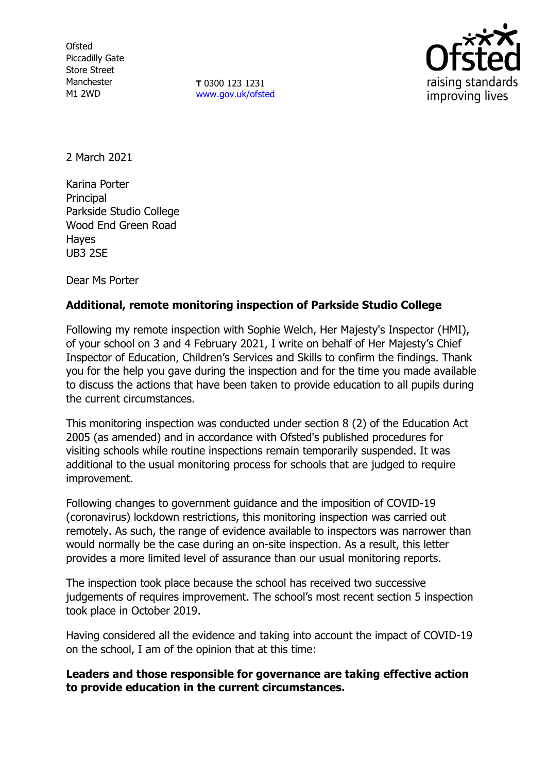**Ofsted** Piccadilly Gate Store Street Manchester M1 2WD

**T** 0300 123 1231 [www.gov.uk/ofsted](http://www.gov.uk/ofsted)



2 March 2021

Karina Porter **Principal** Parkside Studio College Wood End Green Road Hayes UB3 2SE

Dear Ms Porter

# **Additional, remote monitoring inspection of Parkside Studio College**

Following my remote inspection with Sophie Welch, Her Majesty's Inspector (HMI), of your school on 3 and 4 February 2021, I write on behalf of Her Majesty's Chief Inspector of Education, Children's Services and Skills to confirm the findings. Thank you for the help you gave during the inspection and for the time you made available to discuss the actions that have been taken to provide education to all pupils during the current circumstances.

This monitoring inspection was conducted under section 8 (2) of the Education Act 2005 (as amended) and in accordance with Ofsted's published procedures for visiting schools while routine inspections remain temporarily suspended. It was additional to the usual monitoring process for schools that are judged to require improvement.

Following changes to government guidance and the imposition of COVID-19 (coronavirus) lockdown restrictions, this monitoring inspection was carried out remotely. As such, the range of evidence available to inspectors was narrower than would normally be the case during an on-site inspection. As a result, this letter provides a more limited level of assurance than our usual monitoring reports.

The inspection took place because the school has received two successive judgements of requires improvement. The school's most recent section 5 inspection took place in October 2019.

Having considered all the evidence and taking into account the impact of COVID-19 on the school, I am of the opinion that at this time:

## **Leaders and those responsible for governance are taking effective action to provide education in the current circumstances.**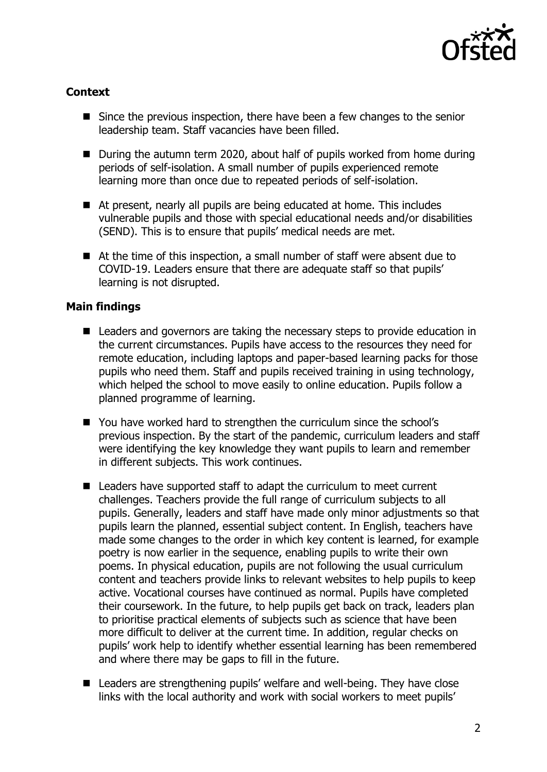

## **Context**

- Since the previous inspection, there have been a few changes to the senior leadership team. Staff vacancies have been filled.
- During the autumn term 2020, about half of pupils worked from home during periods of self-isolation. A small number of pupils experienced remote learning more than once due to repeated periods of self-isolation.
- At present, nearly all pupils are being educated at home. This includes vulnerable pupils and those with special educational needs and/or disabilities (SEND). This is to ensure that pupils' medical needs are met.
- At the time of this inspection, a small number of staff were absent due to COVID-19. Leaders ensure that there are adequate staff so that pupils' learning is not disrupted.

## **Main findings**

- Leaders and governors are taking the necessary steps to provide education in the current circumstances. Pupils have access to the resources they need for remote education, including laptops and paper-based learning packs for those pupils who need them. Staff and pupils received training in using technology, which helped the school to move easily to online education. Pupils follow a planned programme of learning.
- You have worked hard to strengthen the curriculum since the school's previous inspection. By the start of the pandemic, curriculum leaders and staff were identifying the key knowledge they want pupils to learn and remember in different subjects. This work continues.
- Leaders have supported staff to adapt the curriculum to meet current challenges. Teachers provide the full range of curriculum subjects to all pupils. Generally, leaders and staff have made only minor adjustments so that pupils learn the planned, essential subject content. In English, teachers have made some changes to the order in which key content is learned, for example poetry is now earlier in the sequence, enabling pupils to write their own poems. In physical education, pupils are not following the usual curriculum content and teachers provide links to relevant websites to help pupils to keep active. Vocational courses have continued as normal. Pupils have completed their coursework. In the future, to help pupils get back on track, leaders plan to prioritise practical elements of subjects such as science that have been more difficult to deliver at the current time. In addition, regular checks on pupils' work help to identify whether essential learning has been remembered and where there may be gaps to fill in the future.
- Leaders are strengthening pupils' welfare and well-being. They have close links with the local authority and work with social workers to meet pupils'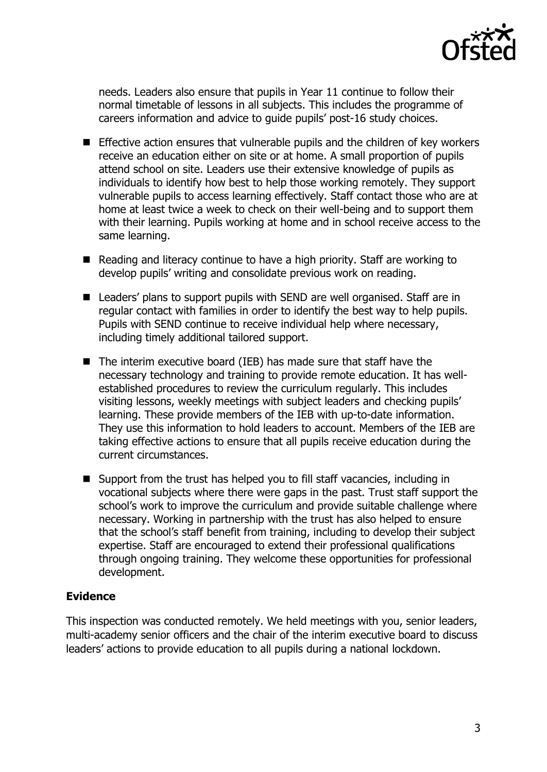

needs. Leaders also ensure that pupils in Year 11 continue to follow their normal timetable of lessons in all subjects. This includes the programme of careers information and advice to guide pupils' post-16 study choices.

- **Effective action ensures that vulnerable pupils and the children of key workers** receive an education either on site or at home. A small proportion of pupils attend school on site. Leaders use their extensive knowledge of pupils as individuals to identify how best to help those working remotely. They support vulnerable pupils to access learning effectively. Staff contact those who are at home at least twice a week to check on their well-being and to support them with their learning. Pupils working at home and in school receive access to the same learning.
- Reading and literacy continue to have a high priority. Staff are working to develop pupils' writing and consolidate previous work on reading.
- Leaders' plans to support pupils with SEND are well organised. Staff are in regular contact with families in order to identify the best way to help pupils. Pupils with SEND continue to receive individual help where necessary, including timely additional tailored support.
- $\blacksquare$  The interim executive board (IEB) has made sure that staff have the necessary technology and training to provide remote education. It has wellestablished procedures to review the curriculum regularly. This includes visiting lessons, weekly meetings with subject leaders and checking pupils' learning. These provide members of the IEB with up-to-date information. They use this information to hold leaders to account. Members of the IEB are taking effective actions to ensure that all pupils receive education during the current circumstances.
- Support from the trust has helped you to fill staff vacancies, including in vocational subjects where there were gaps in the past. Trust staff support the school's work to improve the curriculum and provide suitable challenge where necessary. Working in partnership with the trust has also helped to ensure that the school's staff benefit from training, including to develop their subject expertise. Staff are encouraged to extend their professional qualifications through ongoing training. They welcome these opportunities for professional development.

#### **Evidence**

This inspection was conducted remotely. We held meetings with you, senior leaders, multi-academy senior officers and the chair of the interim executive board to discuss leaders' actions to provide education to all pupils during a national lockdown.